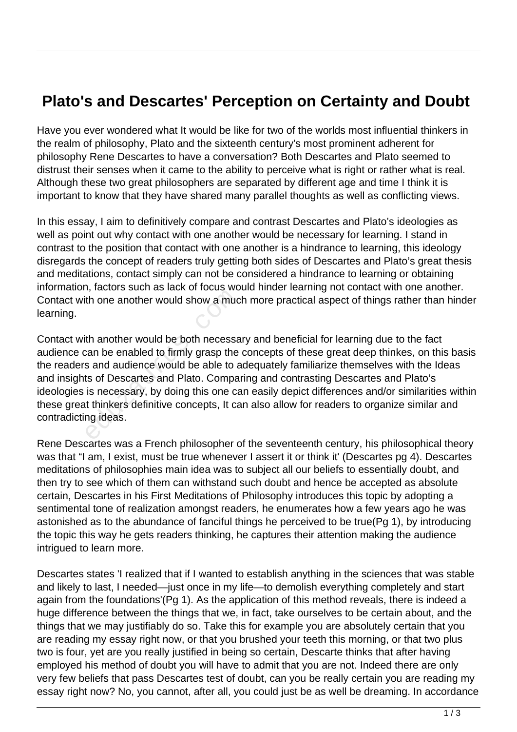## **Plato's and Descartes' Perception on Certainty and Doubt**

Have you ever wondered what It would be like for two of the worlds most influential thinkers in the realm of philosophy, Plato and the sixteenth century's most prominent adherent for philosophy Rene Descartes to have a conversation? Both Descartes and Plato seemed to distrust their senses when it came to the ability to perceive what is right or rather what is real. Although these two great philosophers are separated by different age and time I think it is important to know that they have shared many parallel thoughts as well as conflicting views.

In this essay, I aim to definitively compare and contrast Descartes and Plato's ideologies as well as point out why contact with one another would be necessary for learning. I stand in contrast to the position that contact with one another is a hindrance to learning, this ideology disregards the concept of readers truly getting both sides of Descartes and Plato's great thesis and meditations, contact simply can not be considered a hindrance to learning or obtaining information, factors such as lack of focus would hinder learning not contact with one another. Contact with one another would show a much more practical aspect of things rather than hinder learning.

Contact with another would be both necessary and beneficial for learning due to the fact audience can be enabled to firmly grasp the concepts of these great deep thinkes, on this basis the readers and audience would be able to adequately familiarize themselves with the Ideas and insights of Descartes and Plato. Comparing and contrasting Descartes and Plato's ideologies is necessary, by doing this one can easily depict differences and/or similarities within these great thinkers definitive concepts, It can also allow for readers to organize similar and contradicting ideas. th one another would show a much one another would show a much th another would be both necessar<br>tan be enabled to firmly grasp the<br>s and audience would be able to a<br>ts of Descartes and Plato. Compa<br>is necessary, by doing

Rene Descartes was a French philosopher of the seventeenth century, his philosophical theory was that "I am, I exist, must be true whenever I assert it or think it' (Descartes pg 4). Descartes meditations of philosophies main idea was to subject all our beliefs to essentially doubt, and then try to see which of them can withstand such doubt and hence be accepted as absolute certain, Descartes in his First Meditations of Philosophy introduces this topic by adopting a sentimental tone of realization amongst readers, he enumerates how a few years ago he was astonished as to the abundance of fanciful things he perceived to be true(Pg 1), by introducing the topic this way he gets readers thinking, he captures their attention making the audience intrigued to learn more.

Descartes states 'I realized that if I wanted to establish anything in the sciences that was stable and likely to last, I needed—just once in my life—to demolish everything completely and start again from the foundations'(Pg 1). As the application of this method reveals, there is indeed a huge difference between the things that we, in fact, take ourselves to be certain about, and the things that we may justifiably do so. Take this for example you are absolutely certain that you are reading my essay right now, or that you brushed your teeth this morning, or that two plus two is four, yet are you really justified in being so certain, Descarte thinks that after having employed his method of doubt you will have to admit that you are not. Indeed there are only very few beliefs that pass Descartes test of doubt, can you be really certain you are reading my essay right now? No, you cannot, after all, you could just be as well be dreaming. In accordance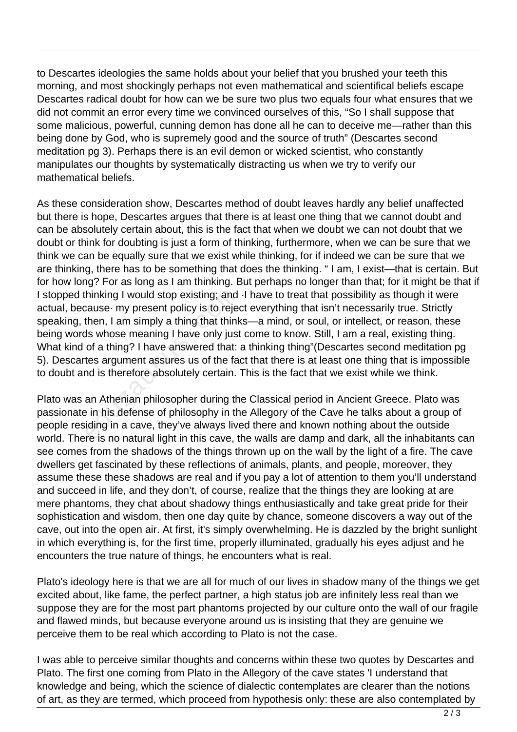to Descartes ideologies the same holds about your belief that you brushed your teeth this morning, and most shockingly perhaps not even mathematical and scientifical beliefs escape Descartes radical doubt for how can we be sure two plus two equals four what ensures that we did not commit an error every time we convinced ourselves of this, "So I shall suppose that some malicious, powerful, cunning demon has done all he can to deceive me—rather than this being done by God, who is supremely good and the source of truth" (Descartes second meditation pg 3). Perhaps there is an evil demon or wicked scientist, who constantly manipulates our thoughts by systematically distracting us when we try to verify our mathematical beliefs.

As these consideration show, Descartes method of doubt leaves hardly any belief unaffected but there is hope, Descartes argues that there is at least one thing that we cannot doubt and can be absolutely certain about, this is the fact that when we doubt we can not doubt that we doubt or think for doubting is just a form of thinking, furthermore, when we can be sure that we think we can be equally sure that we exist while thinking, for if indeed we can be sure that we are thinking, there has to be something that does the thinking. " I am, I exist—that is certain. But for how long? For as long as I am thinking. But perhaps no longer than that; for it might be that if I stopped thinking I would stop existing; and ·I have to treat that possibility as though it were actual, because· my present policy is to reject everything that isn't necessarily true. Strictly speaking, then, I am simply a thing that thinks—a mind, or soul, or intellect, or reason, these being words whose meaning I have only just come to know. Still, I am a real, existing thing. What kind of a thing? I have answered that: a thinking thing"(Descartes second meditation pg 5). Descartes argument assures us of the fact that there is at least one thing that is impossible to doubt and is therefore absolutely certain. This is the fact that we exist while we think. hinking I would stop existing; and<br>cause- my present policy is to reject<br>then, I am simply a thing that think<br>ds whose meaning I have only just<br>of a thing? I have answered that:<br>tes argument assures us of the fa<br>nd is ther

Plato was an Athenian philosopher during the Classical period in Ancient Greece. Plato was passionate in his defense of philosophy in the Allegory of the Cave he talks about a group of people residing in a cave, they've always lived there and known nothing about the outside world. There is no natural light in this cave, the walls are damp and dark, all the inhabitants can see comes from the shadows of the things thrown up on the wall by the light of a fire. The cave dwellers get fascinated by these reflections of animals, plants, and people, moreover, they assume these these shadows are real and if you pay a lot of attention to them you'll understand and succeed in life, and they don't, of course, realize that the things they are looking at are mere phantoms, they chat about shadowy things enthusiastically and take great pride for their sophistication and wisdom, then one day quite by chance, someone discovers a way out of the cave, out into the open air. At first, it's simply overwhelming. He is dazzled by the bright sunlight in which everything is, for the first time, properly illuminated, gradually his eyes adjust and he encounters the true nature of things, he encounters what is real.

Plato's ideology here is that we are all for much of our lives in shadow many of the things we get excited about, like fame, the perfect partner, a high status job are infinitely less real than we suppose they are for the most part phantoms projected by our culture onto the wall of our fragile and flawed minds, but because everyone around us is insisting that they are genuine we perceive them to be real which according to Plato is not the case.

I was able to perceive similar thoughts and concerns within these two quotes by Descartes and Plato. The first one coming from Plato in the Allegory of the cave states 'I understand that knowledge and being, which the science of dialectic contemplates are clearer than the notions of art, as they are termed, which proceed from hypothesis only: these are also contemplated by